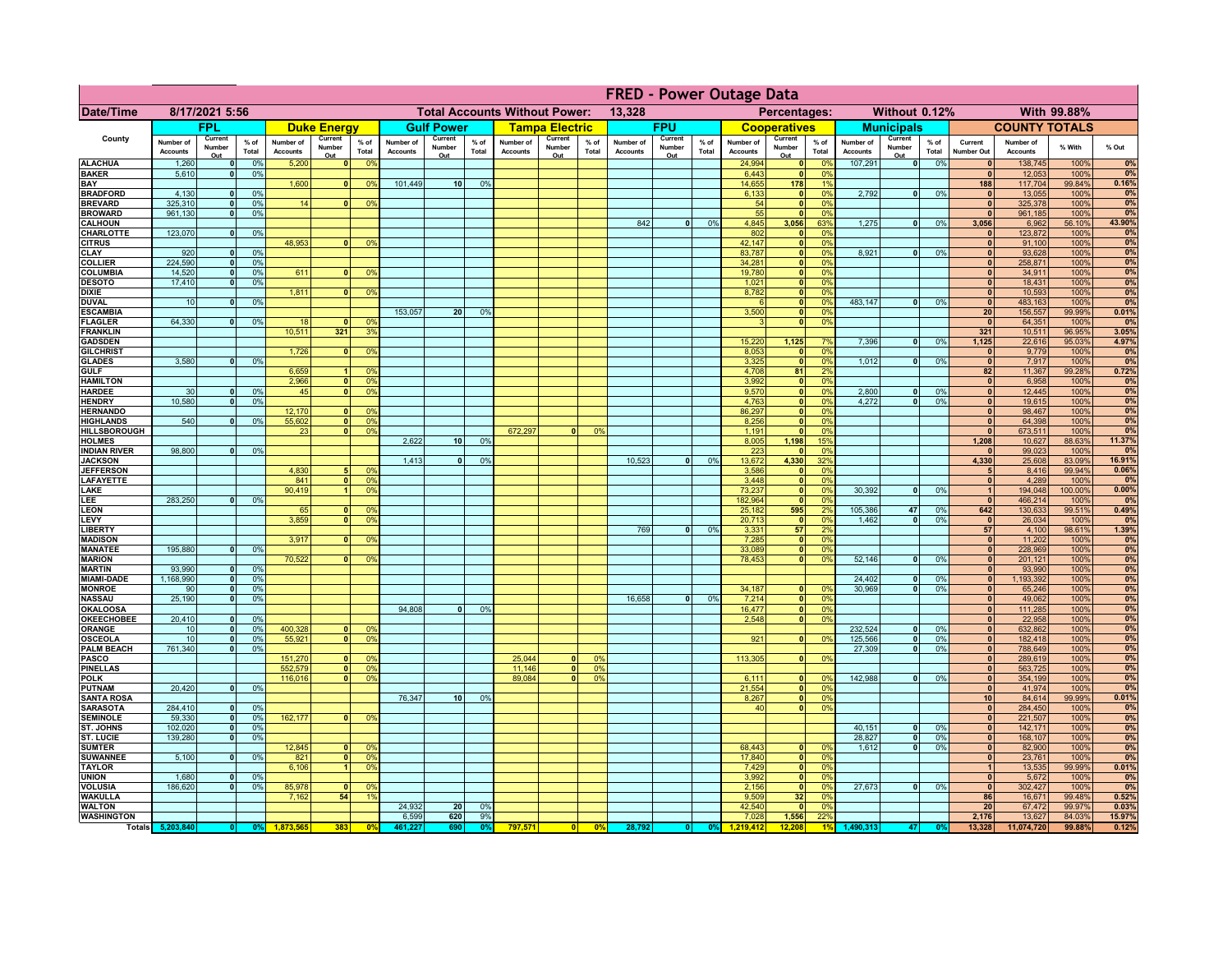|                                      | <b>FRED - Power Outage Data</b> |                              |                 |                              |                          |                                                |                              |                          |                 |                              |                          |                                              |                              |                          |                 |                              |                              |                       |                              |                          |                 |                              |                              |                  |                 |
|--------------------------------------|---------------------------------|------------------------------|-----------------|------------------------------|--------------------------|------------------------------------------------|------------------------------|--------------------------|-----------------|------------------------------|--------------------------|----------------------------------------------|------------------------------|--------------------------|-----------------|------------------------------|------------------------------|-----------------------|------------------------------|--------------------------|-----------------|------------------------------|------------------------------|------------------|-----------------|
| <b>Date/Time</b>                     | 8/17/2021 5:56                  |                              |                 |                              |                          | <b>Total Accounts Without Power:</b><br>13,328 |                              |                          |                 |                              |                          | With 99.88%<br>Percentages:<br>Without 0.12% |                              |                          |                 |                              |                              |                       |                              |                          |                 |                              |                              |                  |                 |
|                                      |                                 | <b>FPL</b>                   |                 |                              | <b>Duke Energy</b>       |                                                |                              | <b>Gulf Power</b>        |                 |                              | <b>Tampa Electric</b>    |                                              |                              | <b>FPU</b>               |                 |                              | <b>Cooperatives</b>          |                       |                              | <b>Municipals</b>        |                 |                              | <b>COUNTY TOTALS</b>         |                  |                 |
| County                               | Number of<br><b>Accounts</b>    | Current<br>Number<br>Out     | $%$ of<br>Total | Number of<br><b>Accounts</b> | Current<br>Number<br>Out | $%$ of<br>Total                                | Number of<br><b>Accounts</b> | Current<br>Number<br>Out | $%$ of<br>Total | Number of<br><b>Accounts</b> | Current<br>Number<br>Out | % of<br>Total                                | Number of<br><b>Accounts</b> | Current<br>Number<br>Out | $%$ of<br>Total | Number of<br><b>Accounts</b> | Current<br>Number<br>Out     | $%$ of<br>Total       | Number of<br><b>Accounts</b> | Current<br>Number<br>Out | $%$ of<br>Total | Current<br>Number Out        | Number of<br><b>Accounts</b> | % With           | % Out           |
| <b>ALACHUA</b>                       | 1,260                           | $\mathbf{0}$                 | 0%              | 5,200                        | $\mathbf{0}$             | 0%                                             |                              |                          |                 |                              |                          |                                              |                              |                          |                 | 24,994                       | 0                            | 0%                    | 107,291                      | 0                        | 0%              | $\mathbf{0}$                 | 138,745                      | 100%             | 0%              |
| <b>BAKER</b><br>BAY                  | 5,610                           | $\mathbf{0}$                 | 0%              | 1,600                        | $\mathbf{0}$             | 0%                                             | 101,449                      | 10 <sup>1</sup>          | 0%              |                              |                          |                                              |                              |                          |                 | 6,443<br>14,655              | 0 <br>178                    | 0%<br>1%              |                              |                          |                 | $\mathbf{0}$<br>188          | 12,053<br>117,704            | 100%<br>99.84%   | 0%<br>0.16%     |
| <b>BRADFORD</b>                      | 4.130                           | $\Omega$                     | 0%              |                              |                          |                                                |                              |                          |                 |                              |                          |                                              |                              |                          |                 | 6,133                        | 0                            | 0%                    | 2.792                        | $\overline{0}$           | 0%              | $\Omega$                     | 13,055                       | 100%             | 0%              |
| <b>BREVARD</b>                       | 325,310                         | $\Omega$                     | 0%              | 14                           |                          | 0 <sup>9</sup>                                 |                              |                          |                 |                              |                          |                                              |                              |                          |                 | 54                           | 0                            | 0%                    |                              |                          |                 | $\mathbf{0}$                 | 325,378                      | 100%             | 0%              |
| <b>BROWARD</b>                       | 961.130                         | $\mathbf{0}$                 | 0%              |                              |                          |                                                |                              |                          |                 |                              |                          |                                              |                              |                          |                 | 55                           | $\mathbf{0}$                 | 0%                    |                              | 0                        |                 | $\mathbf{0}$                 | 961,185                      | 100%             | 0%              |
| <b>CALHOUN</b><br>CHARLOTTE          | 123,070                         | $\mathbf 0$                  | 0%              |                              |                          |                                                |                              |                          |                 |                              |                          |                                              | 842                          | $\bullet$                | 0%              | 4,845<br>802                 | 3,056<br>$\mathbf{0}$        | 63%<br>0%             | 1,275                        |                          | 0%              | 3,056                        | 6,962<br>123,872             | 56.10%<br>100%   | 43.90%<br>0%    |
| <b>CITRUS</b>                        |                                 |                              |                 | 48,953                       |                          | 0 <sup>9</sup>                                 |                              |                          |                 |                              |                          |                                              |                              |                          |                 | 42,147                       | 0                            | 0 <sup>9</sup>        |                              |                          |                 | $\mathbf{0}$                 | 91,100                       | 100%             | 0%              |
| <b>CLAY</b><br><b>COLLIER</b>        | 920<br>224,590                  | $\mathbf{0}$                 | 0%<br>0%        |                              |                          |                                                |                              |                          |                 |                              |                          |                                              |                              |                          |                 | 83,787<br>34,281             | 0 <br> 0                     | 0%<br>0%              | 8,921                        | 0                        | 0%              | $\mathbf{0}$<br>$\mathbf{0}$ | 93,628<br>258,871            | 100%<br>100%     | 0%<br>0%        |
| <b>COLUMBIA</b>                      | 14,520                          | 0 <br> 0                     | 0%              | 611                          | $\Omega$                 | 0%                                             |                              |                          |                 |                              |                          |                                              |                              |                          |                 | 19,780                       | 0                            | 0%                    |                              |                          |                 | 0                            | 34,911                       | 100%             | 0%              |
| <b>DESOTO</b>                        | 17,410                          | $\mathbf{0}$                 | 0%              |                              |                          |                                                |                              |                          |                 |                              |                          |                                              |                              |                          |                 | 1,021                        | $\overline{\bullet}$         | 0%                    |                              |                          |                 | 0                            | 18,431                       | 100%             | 0%              |
| <b>DIXIE</b>                         |                                 |                              |                 | 1,811                        | $\Omega$                 | 0%                                             |                              |                          |                 |                              |                          |                                              |                              |                          |                 | 8,782                        | $\overline{\bullet}$         | 0%                    |                              |                          |                 | 0                            | 10,593                       | 100%             | 0%              |
| <b>DUVAL</b><br><b>ESCAMBIA</b>      | 10                              | $\mathbf{0}$                 | 0%              |                              |                          |                                                | 153,057                      | 20 <sub>1</sub>          | 0%              |                              |                          |                                              |                              |                          |                 | $\epsilon$<br>3,500          | 0 <br> 0                     | 0%<br>0%              | 483.147                      | $\overline{0}$           | 0%              | 0 <br>20                     | 483,163<br>156,557           | 100%<br>99.99%   | 0%<br>0.01%     |
| <b>FLAGLER</b>                       | 64,330                          | 0                            | 0%              | 18                           | $\Omega$                 | 0 <sup>9</sup>                                 |                              |                          |                 |                              |                          |                                              |                              |                          |                 | $\mathbf{R}$                 | 0                            | 0%                    |                              |                          |                 | $\mathbf{0}$                 | 64,351                       | 100%             | 0%              |
| <b>FRANKLIN</b>                      |                                 |                              |                 | 10,511                       | 321                      | 3 <sup>9</sup>                                 |                              |                          |                 |                              |                          |                                              |                              |                          |                 |                              |                              |                       |                              |                          |                 | 321                          | 10,511                       | 96.95%           | 3.05%           |
| <b>GADSDEN</b><br><b>GILCHRIST</b>   |                                 |                              |                 | 1,726                        | $\mathbf{0}$             | 0 <sup>9</sup>                                 |                              |                          |                 |                              |                          |                                              |                              |                          |                 | 15,220<br>8,053              | 1,125<br> 0                  | 7%<br>0%              | 7,396                        | $\overline{0}$           | 0%              | 1,125<br>$\bullet$           | 22,616<br>9,779              | 95.03%<br>100%   | 4.97%<br>0%     |
| <b>GLADES</b>                        | 3.580                           | 0                            | 0%              |                              |                          |                                                |                              |                          |                 |                              |                          |                                              |                              |                          |                 | 3,325                        | 0                            | 0%                    | 1,012                        | $\overline{0}$           | 0%              | 0                            | 7,917                        | 100%             | 0%              |
| <b>GULF</b>                          |                                 |                              |                 | 6,659                        | $\overline{1}$           | 0 <sup>9</sup>                                 |                              |                          |                 |                              |                          |                                              |                              |                          |                 | 4,708                        | 81                           | 2%                    |                              |                          |                 | 82                           | 11,367                       | 99.28%           | 0.72%           |
| <b>HAMILTON</b>                      |                                 |                              |                 | 2,966                        | $\overline{\mathbf{0}}$  | 0 <sup>9</sup>                                 |                              |                          |                 |                              |                          |                                              |                              |                          |                 | 3,992                        | 0                            | 0%                    |                              |                          |                 | 0                            | 6,958                        | 100%             | 0%<br>0%        |
| <b>HARDEE</b><br><b>HENDRY</b>       | 30<br>10,580                    | $\Omega$<br>$\Omega$         | 0%<br>0%        | 45                           | ٥I                       | 0 <sup>9</sup>                                 |                              |                          |                 |                              |                          |                                              |                              |                          |                 | 9,570<br>4,763               | 0 <br> 0                     | 0%<br>0%              | 2.800<br>4,272               | $\Omega$<br>$\Omega$     | 0%<br>0%        | 0 <br>$\Omega$               | 12,445<br>19,615             | 100%<br>100%     | 0%              |
| <b>HERNANDO</b>                      |                                 |                              |                 | 12,170                       | $\mathbf{0}$             | 0 <sup>9</sup>                                 |                              |                          |                 |                              |                          |                                              |                              |                          |                 | 86,297                       | 0                            | 0%                    |                              |                          |                 | 0                            | 98,467                       | 100%             | 0%              |
| <b>HIGHLANDS</b>                     | 540                             |                              | 0%              | 55,602                       | $\mathbf{0}$             | 0 <sup>9</sup>                                 |                              |                          |                 |                              |                          |                                              |                              |                          |                 | 8,256                        | 0                            | 0%                    |                              |                          |                 | 0                            | 64,398                       | 100%             | 0%              |
| <b>HILLSBOROUGH</b><br><b>HOLMES</b> |                                 |                              |                 | 23                           | $\mathbf{0}$             | 0 <sup>9</sup>                                 | 2,622                        | 10 <sup>1</sup>          | 0%              | 672.297                      | $\mathbf{0}$             | 0%                                           |                              |                          |                 | 1,191<br>8,005               | 0 <br>1,198                  | 0%<br>15%             |                              |                          |                 | $\mathbf{0}$<br>1,208        | 673,511<br>10,627            | 100%<br>88.63%   | 0%<br>11.37%    |
| <b>INDIAN RIVER</b>                  | 98,800                          |                              | 0%              |                              |                          |                                                |                              |                          |                 |                              |                          |                                              |                              |                          |                 | 223                          | 0                            | 0%                    |                              |                          |                 | $\Omega$                     | 99,023                       | 100%             | 0%              |
| <b>JACKSON</b>                       |                                 |                              |                 |                              |                          |                                                | 1,413                        |                          | 0%              |                              |                          |                                              | 10,523                       | $\Omega$                 | 0%              | 13,672                       | 4,330                        | 32%                   |                              |                          |                 | 4,330                        | 25,608                       | 83.09%           | 16.91%          |
| <b>JEFFERSON</b><br><b>LAFAYETTE</b> |                                 |                              |                 | 4,830<br>841                 | $\mathbf{0}$             | 0 <sup>9</sup><br>0 <sup>9</sup>               |                              |                          |                 |                              |                          |                                              |                              |                          |                 | 3,586<br>3,448               | $\mathbf{0}$<br>$\mathbf{0}$ | 0%<br>0%              |                              |                          |                 | 5 <sub>1</sub><br> 0         | 8,416<br>4,289               | 99.94%<br>100%   | 0.06%<br>0%     |
| LAKE                                 |                                 |                              |                 | 90,419                       | $\blacksquare$           | 0 <sup>9</sup>                                 |                              |                          |                 |                              |                          |                                              |                              |                          |                 | 73,237                       | 0                            | 0%                    | 30,392                       | $\overline{0}$           | 0%              | 1                            | 194,048                      | 100.00%          | 0.00%           |
| LEE                                  | 283,250                         | $\Omega$                     | 0%              |                              |                          |                                                |                              |                          |                 |                              |                          |                                              |                              |                          |                 | 182,964                      | 0                            | 0%                    |                              |                          |                 | 0                            | 466,214                      | 100%             | 0%              |
| <b>LEON</b>                          |                                 |                              |                 | 65                           | $\Omega$                 | 0 <sup>9</sup>                                 |                              |                          |                 |                              |                          |                                              |                              |                          |                 | 25,182                       | 595                          | 2%                    | 105,386                      | 47                       | 0%              | 642                          | 130,633                      | 99.51%           | 0.49%           |
| LEVY<br><b>LIBERTY</b>               |                                 |                              |                 | 3,859                        | $\mathbf{0}$             | 0 <sup>9</sup>                                 |                              |                          |                 |                              |                          |                                              | 769                          | 0                        | 0%              | 20,713<br>3,331              | 0 <br>57                     | 0%<br>2%              | 1,462                        | ol                       | 0%              | 0 <br>57                     | 26,034<br>4,100              | 100%<br>98.61%   | 0%<br>1.39%     |
| <b>MADISON</b>                       |                                 |                              |                 | 3,917                        | $\Omega$                 | 0%                                             |                              |                          |                 |                              |                          |                                              |                              |                          |                 | 7,285                        | 0                            | 0%                    |                              |                          |                 | 0                            | 11,202                       | 100%             | 0%              |
| <b>MANATEE</b>                       | 195,880                         | 0                            | 0%              |                              |                          |                                                |                              |                          |                 |                              |                          |                                              |                              |                          |                 | 33,089                       | 0                            | 0%                    |                              |                          |                 | 0                            | 228,969                      | 100%             | 0%              |
| <b>MARION</b><br><b>MARTIN</b>       | 93.990                          | $\Omega$                     | 0%              | 70,522                       | 0 <sup>1</sup>           | 0%                                             |                              |                          |                 |                              |                          |                                              |                              |                          |                 | 78,453                       | 0                            | 0%                    | 52,146                       | -ol                      | 0%              | 0 <br> 0                     | 201,121<br>93,990            | 100%<br>100%     | 0%<br>0%        |
| <b>MIAMI-DADE</b>                    | 1,168,990                       | 0                            | 0%              |                              |                          |                                                |                              |                          |                 |                              |                          |                                              |                              |                          |                 |                              |                              |                       | 24,402                       | 0                        | 0%              | 0                            | 1,193,392                    | 100%             | 0%              |
| <b>MONROE</b>                        | 90                              | $\mathbf{0}$                 | 0%              |                              |                          |                                                |                              |                          |                 |                              |                          |                                              |                              |                          |                 | 34,187                       | 0                            | $\Omega$ <sup>9</sup> | 30,969                       | 0                        | 0%              | 0                            | 65,246                       | 100%             | 0%              |
| <b>NASSAU</b><br><b>OKALOOSA</b>     | 25,190                          | $\mathbf{0}$                 | 0%              |                              |                          |                                                | 94,808                       | 0                        | 0%              |                              |                          |                                              | 16,658                       | 0                        | 0%              | 7,214<br>16,477              | 0 <br> 0                     | 0%<br>0%              |                              |                          |                 | 0 <br> 0                     | 49,062<br>111,285            | 100%<br>100%     | 0%<br>0%        |
| <b>OKEECHOBEE</b>                    | 20,410                          | 0                            | 0%              |                              |                          |                                                |                              |                          |                 |                              |                          |                                              |                              |                          |                 | 2,548                        | 0                            | 0%                    |                              |                          |                 | 0                            | 22,958                       | 100%             | 0%              |
| <b>ORANGE</b>                        | 10                              | 0                            | 0%              | 400,328                      | $\mathbf{0}$             | 0 <sup>9</sup>                                 |                              |                          |                 |                              |                          |                                              |                              |                          |                 |                              |                              |                       | 232,524                      | -ol                      | 0%              | 0                            | 632,862                      | 100%             | 0%              |
| <b>OSCEOLA</b>                       | 10                              | 0                            | 0%              | 55,921                       | $\mathbf{0}$             | 0 <sup>9</sup>                                 |                              |                          |                 |                              |                          |                                              |                              |                          |                 | 921                          | 0                            | 0%                    | 125,566                      | 0                        | 0%              | 0                            | 182,418                      | 100%             | 0%              |
| <b>PALM BEACH</b><br><b>PASCO</b>    | 761,340                         | 0                            | 0%              | 151,270                      | $\mathbf{0}$             | 0 <sup>9</sup>                                 |                              |                          |                 | 25,044                       | $\Omega$                 | $\Omega$                                     |                              |                          |                 | 113,305                      | 0                            | 0%                    | 27,309                       | $\overline{0}$           | 0%              | 0 <br> 0                     | 788,649<br>289,619           | 100%<br>100%     | 0%<br>0%        |
| <b>PINELLAS</b>                      |                                 |                              |                 | 552,579                      | 0                        | 0 <sup>9</sup>                                 |                              |                          |                 | 11,146                       | 0                        | 0 <sup>9</sup>                               |                              |                          |                 |                              |                              |                       |                              |                          |                 | 0                            | 563,725                      | 100%             | 0%              |
| <b>POLK</b>                          |                                 |                              |                 | 116,016                      | <sub>0</sub>             | 0 <sup>9</sup>                                 |                              |                          |                 | 89,084                       | $\mathbf{a}$             | 0 <sup>9</sup>                               |                              |                          |                 | 6,111                        | 0                            | $\Omega$ <sup>9</sup> | 142,988                      | 0                        | 0%              | 0                            | 354,199                      | 100%             | 0%              |
| <b>PUTNAM</b><br><b>SANTA ROSA</b>   | 20,420                          | $\mathbf{0}$                 | 0%              |                              |                          |                                                | 76,347                       | 10 <sup>1</sup>          | 0%              |                              |                          |                                              |                              |                          |                 | 21,554<br>8,267              | 0 <br> 0                     | 0%<br>0%              |                              |                          |                 | $\mathbf{0}$<br>10           | 41,974<br>84,614             | 100%<br>99.99%   | 0%<br>0.01%     |
| <b>SARASOTA</b>                      | 284,410                         | $\mathbf{0}$                 | 0%              |                              |                          |                                                |                              |                          |                 |                              |                          |                                              |                              |                          |                 | 40                           | 0                            | 0%                    |                              |                          |                 | $\mathbf{0}$                 | 284,450                      | 100%             | 0%              |
| <b>SEMINOLE</b>                      | 59,330                          | $\mathbf{0}$                 | 0%              | 162,177                      | O.                       | 0 <sup>9</sup>                                 |                              |                          |                 |                              |                          |                                              |                              |                          |                 |                              |                              |                       |                              |                          |                 | $\mathbf{0}$                 | 221,507                      | 100%             | 0%              |
| ST. JOHNS<br><b>ST. LUCIE</b>        | 102,020<br>139,280              | $\mathbf{0}$<br>$\mathbf{0}$ | 0%<br>0%        |                              |                          |                                                |                              |                          |                 |                              |                          |                                              |                              |                          |                 |                              |                              |                       | 40,151<br>28,827             | $\overline{0}$<br> 0     | 0%<br>0%        | $\mathbf{0}$<br>$\mathbf{0}$ | 142,171<br>168,107           | 100%<br>100%     | 0%<br>0%        |
| <b>SUMTER</b>                        |                                 |                              |                 | 12,845                       |                          | 0 <sup>6</sup>                                 |                              |                          |                 |                              |                          |                                              |                              |                          |                 | 68,443                       | $\mathbf{0}$                 | 0 <sup>9</sup>        | 1,612                        | $\overline{\phantom{0}}$ | 0%              | $\mathbf{0}$                 | 82,900                       | 100%             | 0%              |
| <b>SUWANNEE</b>                      | 5,100                           | $\mathbf{0}$                 | 0%              | 821                          | $\mathbf{0}$             | 0 <sup>9</sup>                                 |                              |                          |                 |                              |                          |                                              |                              |                          |                 | 17,840                       | 0                            | 0%                    |                              |                          |                 | $\mathbf{0}$                 | 23,761                       | 100%             | 0%              |
| <b>TAYLOR</b>                        | 1,680                           |                              |                 | 6,106                        |                          | 0 <sup>9</sup>                                 |                              |                          |                 |                              |                          |                                              |                              |                          |                 | 7,429<br>3,992               | 0                            | 0%                    |                              |                          |                 | $\mathbf{1}$                 | 13,535                       | 99.99%           | 0.01%           |
| <b>UNION</b><br><b>VOLUSIA</b>       | 186,620                         |                              | 0%<br>0%        | 85,978                       | $\Omega$                 | 0 <sup>9</sup>                                 |                              |                          |                 |                              |                          |                                              |                              |                          |                 | 2,156                        | 0 <br> 0                     | 0%<br>0%              | 27,673                       | $\overline{0}$           | 0%              | $\mathbf{0}$<br>$\mathbf{0}$ | 5,672<br>302,427             | 100%<br>100%     | 0%<br>0%        |
| <b>WAKULLA</b>                       |                                 |                              |                 | 7,162                        | 54                       | 1 <sup>9</sup>                                 |                              |                          |                 |                              |                          |                                              |                              |                          |                 | 9,509                        | 32                           | 0%                    |                              |                          |                 | 86                           | 16,671                       | 99.48%           | 0.52%           |
| <b>WALTON</b>                        |                                 |                              |                 |                              |                          |                                                | 24,932                       | 20                       | 0%              |                              |                          |                                              |                              |                          |                 | 42,540                       | 0                            | 0%                    |                              |                          |                 | 20                           | 67,472                       | 99.97%           | 0.03%           |
| <b>WASHINGTON</b>                    | Totals 5,203,840                |                              | 0%              |                              | 383                      | $\mathbf{0}$                                   | 6,599<br>461.22              | 620<br>690               | 9%<br>0°        | 797,571                      | 0                        | 0 <sup>9</sup>                               | 28,792                       |                          | 0%              | 7,028<br>1.219.412           | 1,556<br>12,208              | 22%                   | 1,490,313                    | 47                       |                 | 2,176<br>13,328              | 13,627<br>11,074,720         | 84.03%<br>99.88% | 15.97%<br>0.12% |
|                                      |                                 |                              |                 |                              |                          |                                                |                              |                          |                 |                              |                          |                                              |                              |                          |                 |                              |                              |                       |                              |                          |                 |                              |                              |                  |                 |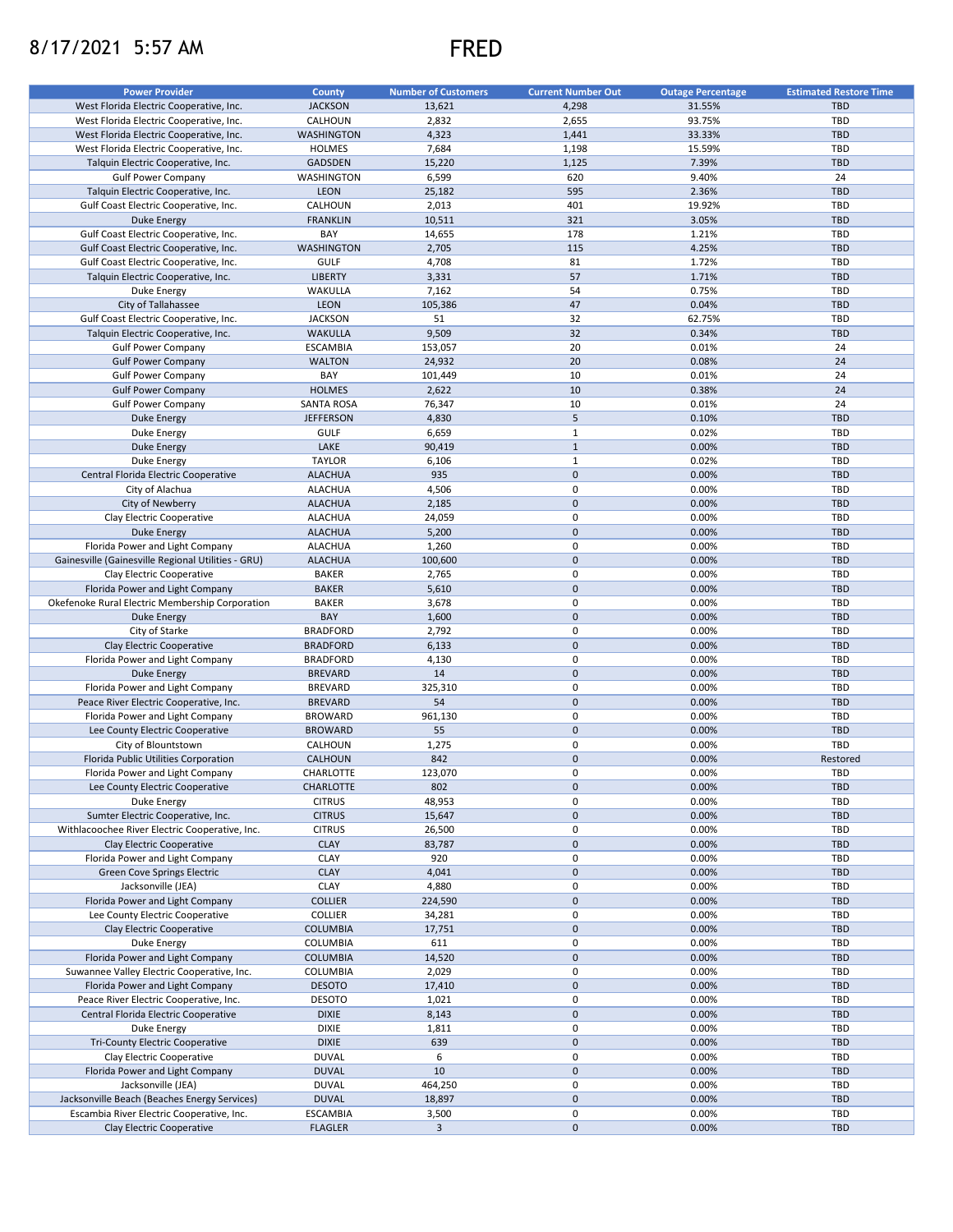## 8/17/2021 5:57 AM FRED



| <b>Power Provider</b>                              | <b>County</b>     | <b>Number of Customers</b> | <b>Current Number Out</b> | <b>Outage Percentage</b> | <b>Estimated Restore Time</b> |
|----------------------------------------------------|-------------------|----------------------------|---------------------------|--------------------------|-------------------------------|
|                                                    |                   |                            |                           |                          |                               |
| West Florida Electric Cooperative, Inc.            | <b>JACKSON</b>    | 13,621                     | 4,298                     | 31.55%                   | <b>TBD</b>                    |
| West Florida Electric Cooperative, Inc.            | CALHOUN           | 2,832                      | 2,655                     | 93.75%                   | TBD                           |
| West Florida Electric Cooperative, Inc.            | <b>WASHINGTON</b> | 4,323                      | 1,441                     | 33.33%                   | <b>TBD</b>                    |
| West Florida Electric Cooperative, Inc.            | <b>HOLMES</b>     | 7,684                      | 1,198                     | 15.59%                   | <b>TBD</b>                    |
| Talquin Electric Cooperative, Inc.                 | <b>GADSDEN</b>    | 15,220                     | 1,125                     | 7.39%                    | <b>TBD</b>                    |
| <b>Gulf Power Company</b>                          | WASHINGTON        | 6,599                      | 620                       | 9.40%                    | 24                            |
| Talquin Electric Cooperative, Inc.                 | <b>LEON</b>       | 25,182                     | 595                       | 2.36%                    | <b>TBD</b>                    |
| Gulf Coast Electric Cooperative, Inc.              | CALHOUN           | 2,013                      | 401                       | 19.92%                   | <b>TBD</b>                    |
| Duke Energy                                        | <b>FRANKLIN</b>   | 10,511                     | 321                       | 3.05%                    | <b>TBD</b>                    |
|                                                    |                   |                            | 178                       |                          | <b>TBD</b>                    |
| Gulf Coast Electric Cooperative, Inc.              | BAY               | 14,655                     |                           | 1.21%                    |                               |
| Gulf Coast Electric Cooperative, Inc.              | <b>WASHINGTON</b> | 2,705                      | 115                       | 4.25%                    | <b>TBD</b>                    |
| Gulf Coast Electric Cooperative, Inc.              | <b>GULF</b>       | 4,708                      | 81                        | 1.72%                    | <b>TBD</b>                    |
| Talquin Electric Cooperative, Inc.                 | <b>LIBERTY</b>    | 3,331                      | 57                        | 1.71%                    | <b>TBD</b>                    |
| Duke Energy                                        | WAKULLA           | 7,162                      | 54                        | 0.75%                    | <b>TBD</b>                    |
| City of Tallahassee                                | <b>LEON</b>       | 105,386                    | 47                        | 0.04%                    | <b>TBD</b>                    |
| Gulf Coast Electric Cooperative, Inc.              | <b>JACKSON</b>    | 51                         | 32                        | 62.75%                   | <b>TBD</b>                    |
| Talquin Electric Cooperative, Inc.                 | <b>WAKULLA</b>    | 9,509                      | 32                        | 0.34%                    | <b>TBD</b>                    |
| <b>Gulf Power Company</b>                          | <b>ESCAMBIA</b>   | 153,057                    | 20                        | 0.01%                    | 24                            |
|                                                    |                   |                            |                           |                          |                               |
| <b>Gulf Power Company</b>                          | <b>WALTON</b>     | 24,932                     | 20                        | 0.08%                    | 24                            |
| <b>Gulf Power Company</b>                          | BAY               | 101,449                    | 10                        | 0.01%                    | 24                            |
| <b>Gulf Power Company</b>                          | <b>HOLMES</b>     | 2,622                      | 10                        | 0.38%                    | 24                            |
| <b>Gulf Power Company</b>                          | <b>SANTA ROSA</b> | 76,347                     | 10                        | 0.01%                    | 24                            |
| Duke Energy                                        | <b>JEFFERSON</b>  | 4,830                      | $5\phantom{.0}$           | 0.10%                    | <b>TBD</b>                    |
| Duke Energy                                        | <b>GULF</b>       | 6,659                      | $\mathbf{1}$              | 0.02%                    | <b>TBD</b>                    |
| <b>Duke Energy</b>                                 | LAKE              | 90,419                     | $1\,$                     | 0.00%                    | <b>TBD</b>                    |
| Duke Energy                                        | <b>TAYLOR</b>     | 6,106                      | $1\,$                     | 0.02%                    | <b>TBD</b>                    |
|                                                    |                   |                            |                           |                          |                               |
| Central Florida Electric Cooperative               | <b>ALACHUA</b>    | 935                        | $\mathbf 0$               | 0.00%                    | <b>TBD</b>                    |
| City of Alachua                                    | <b>ALACHUA</b>    | 4,506                      | 0                         | 0.00%                    | <b>TBD</b>                    |
| City of Newberry                                   | <b>ALACHUA</b>    | 2,185                      | $\mathbf 0$               | 0.00%                    | <b>TBD</b>                    |
| Clay Electric Cooperative                          | <b>ALACHUA</b>    | 24,059                     | 0                         | 0.00%                    | <b>TBD</b>                    |
| <b>Duke Energy</b>                                 | <b>ALACHUA</b>    | 5,200                      | $\mathbf 0$               | 0.00%                    | <b>TBD</b>                    |
| Florida Power and Light Company                    | <b>ALACHUA</b>    | 1,260                      | 0                         | 0.00%                    | TBD                           |
| Gainesville (Gainesville Regional Utilities - GRU) | <b>ALACHUA</b>    | 100,600                    | $\mathbf 0$               | 0.00%                    | <b>TBD</b>                    |
|                                                    |                   |                            |                           |                          |                               |
| Clay Electric Cooperative                          | <b>BAKER</b>      | 2,765                      | 0                         | 0.00%                    | <b>TBD</b>                    |
| Florida Power and Light Company                    | <b>BAKER</b>      | 5,610                      | $\mathbf 0$               | 0.00%                    | <b>TBD</b>                    |
| Okefenoke Rural Electric Membership Corporation    | <b>BAKER</b>      | 3,678                      | $\mathsf 0$               | 0.00%                    | <b>TBD</b>                    |
| <b>Duke Energy</b>                                 | BAY               | 1,600                      | $\pmb{0}$                 | 0.00%                    | <b>TBD</b>                    |
| City of Starke                                     | <b>BRADFORD</b>   | 2,792                      | $\pmb{0}$                 | 0.00%                    | TBD                           |
| Clay Electric Cooperative                          | <b>BRADFORD</b>   | 6,133                      | $\mathbf 0$               | 0.00%                    | <b>TBD</b>                    |
| Florida Power and Light Company                    | <b>BRADFORD</b>   | 4,130                      | 0                         | 0.00%                    | <b>TBD</b>                    |
| <b>Duke Energy</b>                                 | <b>BREVARD</b>    | 14                         | $\mathbf 0$               | 0.00%                    | <b>TBD</b>                    |
| Florida Power and Light Company                    | <b>BREVARD</b>    | 325,310                    | 0                         | 0.00%                    | <b>TBD</b>                    |
|                                                    |                   |                            |                           |                          |                               |
| Peace River Electric Cooperative, Inc.             | <b>BREVARD</b>    | 54                         | $\mathbf 0$               | 0.00%                    | <b>TBD</b>                    |
| Florida Power and Light Company                    | <b>BROWARD</b>    | 961,130                    | 0                         | 0.00%                    | <b>TBD</b>                    |
| Lee County Electric Cooperative                    | <b>BROWARD</b>    | 55                         | $\mathbf 0$               | 0.00%                    | <b>TBD</b>                    |
| City of Blountstown                                | CALHOUN           | 1,275                      | 0                         | 0.00%                    | TBD                           |
| Florida Public Utilities Corporation               | CALHOUN           | 842                        | $\mathbf 0$               | 0.00%                    | Restored                      |
| Florida Power and Light Company                    | CHARLOTTE         | 123,070                    | $\mathbf 0$               | 0.00%                    | <b>TBD</b>                    |
| Lee County Electric Cooperative                    | CHARLOTTE         | 802                        | $\mathbf 0$               | 0.00%                    | <b>TBD</b>                    |
|                                                    |                   |                            |                           |                          |                               |
| Duke Energy                                        | <b>CITRUS</b>     | 48,953                     | 0                         | 0.00%                    | TBD                           |
| Sumter Electric Cooperative, Inc.                  | <b>CITRUS</b>     | 15,647                     | $\mathbf 0$               | 0.00%                    | TBD                           |
| Withlacoochee River Electric Cooperative, Inc.     | <b>CITRUS</b>     | 26,500                     | 0                         | 0.00%                    | TBD                           |
| Clay Electric Cooperative                          | <b>CLAY</b>       | 83,787                     | $\mathbf 0$               | 0.00%                    | <b>TBD</b>                    |
| Florida Power and Light Company                    | CLAY              | 920                        | 0                         | 0.00%                    | TBD                           |
| <b>Green Cove Springs Electric</b>                 | <b>CLAY</b>       | 4,041                      | $\mathbf 0$               | 0.00%                    | <b>TBD</b>                    |
| Jacksonville (JEA)                                 | CLAY              | 4,880                      | 0                         | 0.00%                    | TBD                           |
| Florida Power and Light Company                    | <b>COLLIER</b>    | 224,590                    | $\mathbf 0$               | 0.00%                    | <b>TBD</b>                    |
|                                                    |                   |                            | 0                         | 0.00%                    | TBD                           |
| Lee County Electric Cooperative                    | <b>COLLIER</b>    | 34,281                     |                           |                          |                               |
| Clay Electric Cooperative                          | <b>COLUMBIA</b>   | 17,751                     | $\mathbf 0$               | 0.00%                    | <b>TBD</b>                    |
| Duke Energy                                        | COLUMBIA          | 611                        | 0                         | 0.00%                    | TBD                           |
| Florida Power and Light Company                    | <b>COLUMBIA</b>   | 14,520                     | $\mathbf 0$               | 0.00%                    | <b>TBD</b>                    |
| Suwannee Valley Electric Cooperative, Inc.         | COLUMBIA          | 2,029                      | 0                         | 0.00%                    | TBD                           |
| Florida Power and Light Company                    | <b>DESOTO</b>     | 17,410                     | $\pmb{0}$                 | 0.00%                    | TBD                           |
| Peace River Electric Cooperative, Inc.             | <b>DESOTO</b>     | 1,021                      | 0                         | 0.00%                    | TBD                           |
| Central Florida Electric Cooperative               | <b>DIXIE</b>      | 8,143                      | $\mathbf 0$               | 0.00%                    | <b>TBD</b>                    |
|                                                    |                   |                            | 0                         |                          | TBD                           |
| Duke Energy                                        | <b>DIXIE</b>      | 1,811                      |                           | 0.00%                    |                               |
| Tri-County Electric Cooperative                    | <b>DIXIE</b>      | 639                        | $\pmb{0}$                 | 0.00%                    | TBD                           |
| Clay Electric Cooperative                          | <b>DUVAL</b>      | 6                          | 0                         | 0.00%                    | TBD                           |
| Florida Power and Light Company                    | <b>DUVAL</b>      | 10                         | $\pmb{0}$                 | 0.00%                    | TBD                           |
| Jacksonville (JEA)                                 | <b>DUVAL</b>      | 464,250                    | 0                         | 0.00%                    | TBD                           |
| Jacksonville Beach (Beaches Energy Services)       | <b>DUVAL</b>      | 18,897                     | $\mathbf 0$               | 0.00%                    | <b>TBD</b>                    |
| Escambia River Electric Cooperative, Inc.          | <b>ESCAMBIA</b>   | 3,500                      | 0                         | 0.00%                    | TBD                           |
|                                                    |                   | 3                          | $\pmb{0}$                 | 0.00%                    | TBD                           |
| Clay Electric Cooperative                          | <b>FLAGLER</b>    |                            |                           |                          |                               |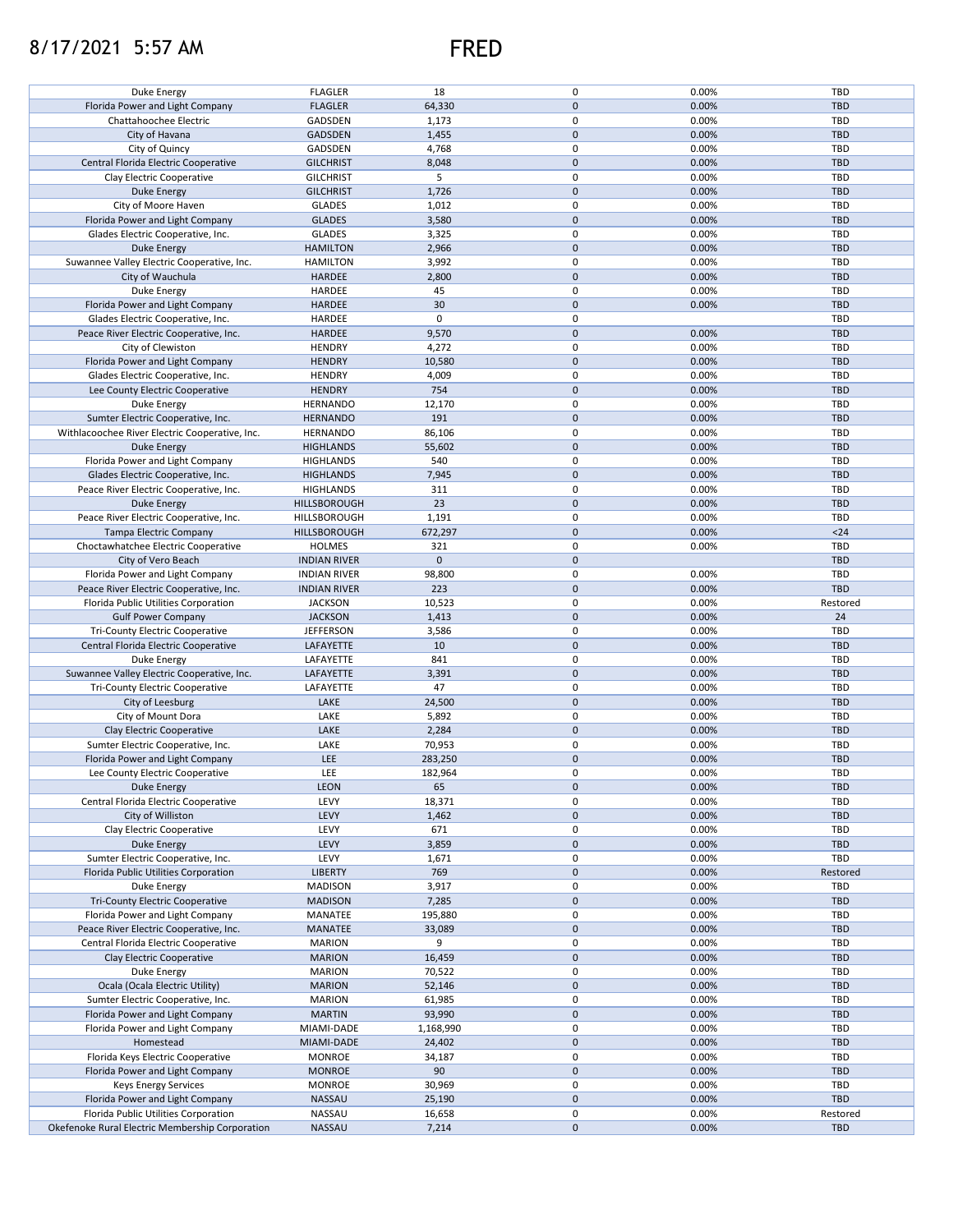## 8/17/2021 5:57 AM FRED



| Duke Energy                                                                             |                     |                 |                          |                |                 |
|-----------------------------------------------------------------------------------------|---------------------|-----------------|--------------------------|----------------|-----------------|
|                                                                                         | <b>FLAGLER</b>      | 18              | 0                        | 0.00%          | TBD             |
| Florida Power and Light Company                                                         | <b>FLAGLER</b>      | 64,330          | $\pmb{0}$                | 0.00%          | <b>TBD</b>      |
|                                                                                         |                     |                 |                          |                |                 |
| Chattahoochee Electric                                                                  | GADSDEN             | 1,173           | 0                        | 0.00%          | TBD             |
| City of Havana                                                                          | <b>GADSDEN</b>      | 1,455           | $\mathbf 0$              | 0.00%          | <b>TBD</b>      |
| City of Quincy                                                                          | GADSDEN             | 4,768           | 0                        | 0.00%          | TBD             |
|                                                                                         |                     |                 |                          |                |                 |
| Central Florida Electric Cooperative                                                    | <b>GILCHRIST</b>    | 8,048           | $\pmb{0}$                | 0.00%          | <b>TBD</b>      |
| Clay Electric Cooperative                                                               | <b>GILCHRIST</b>    | 5               | 0                        | 0.00%          | TBD             |
|                                                                                         |                     |                 |                          |                |                 |
| <b>Duke Energy</b>                                                                      | <b>GILCHRIST</b>    | 1,726           | $\pmb{0}$                | 0.00%          | <b>TBD</b>      |
| City of Moore Haven                                                                     | <b>GLADES</b>       | 1,012           | 0                        | 0.00%          | TBD             |
| Florida Power and Light Company                                                         | <b>GLADES</b>       | 3,580           | $\pmb{0}$                | 0.00%          | <b>TBD</b>      |
|                                                                                         |                     |                 |                          |                |                 |
| Glades Electric Cooperative, Inc.                                                       | <b>GLADES</b>       | 3,325           | 0                        | 0.00%          | TBD             |
| <b>Duke Energy</b>                                                                      | <b>HAMILTON</b>     | 2,966           | $\pmb{0}$                | 0.00%          | <b>TBD</b>      |
|                                                                                         |                     |                 | 0                        |                |                 |
| Suwannee Valley Electric Cooperative, Inc.                                              | <b>HAMILTON</b>     | 3,992           |                          | 0.00%          | TBD             |
| City of Wauchula                                                                        | HARDEE              | 2,800           | $\pmb{0}$                | 0.00%          | <b>TBD</b>      |
| Duke Energy                                                                             | HARDEE              | 45              | 0                        | 0.00%          | TBD             |
|                                                                                         |                     |                 |                          |                |                 |
| Florida Power and Light Company                                                         | HARDEE              | 30              | $\pmb{0}$                | 0.00%          | <b>TBD</b>      |
| Glades Electric Cooperative, Inc.                                                       | HARDEE              | $\pmb{0}$       | 0                        |                | TBD             |
| Peace River Electric Cooperative, Inc.                                                  | HARDEE              | 9,570           | $\pmb{0}$                | 0.00%          | <b>TBD</b>      |
|                                                                                         |                     |                 |                          |                |                 |
| City of Clewiston                                                                       | <b>HENDRY</b>       | 4,272           | 0                        | 0.00%          | TBD             |
| Florida Power and Light Company                                                         | <b>HENDRY</b>       | 10,580          | $\pmb{0}$                | 0.00%          | <b>TBD</b>      |
|                                                                                         |                     |                 |                          |                |                 |
| Glades Electric Cooperative, Inc.                                                       | <b>HENDRY</b>       | 4,009           | 0                        | 0.00%          | TBD             |
| Lee County Electric Cooperative                                                         | <b>HENDRY</b>       | 754             | $\pmb{0}$                | 0.00%          | <b>TBD</b>      |
| Duke Energy                                                                             | <b>HERNANDO</b>     | 12,170          | 0                        | 0.00%          | TBD             |
|                                                                                         |                     |                 |                          |                |                 |
| Sumter Electric Cooperative, Inc.                                                       | <b>HERNANDO</b>     | 191             | $\pmb{0}$                | 0.00%          | <b>TBD</b>      |
| Withlacoochee River Electric Cooperative, Inc.                                          | <b>HERNANDO</b>     | 86,106          | $\mathbf 0$              | 0.00%          | TBD             |
|                                                                                         |                     |                 |                          |                |                 |
| <b>Duke Energy</b>                                                                      | <b>HIGHLANDS</b>    | 55,602          | $\pmb{0}$                | 0.00%          | <b>TBD</b>      |
| Florida Power and Light Company                                                         | <b>HIGHLANDS</b>    | 540             | 0                        | 0.00%          | TBD             |
| Glades Electric Cooperative, Inc.                                                       | <b>HIGHLANDS</b>    | 7,945           | $\mathbf 0$              | 0.00%          | <b>TBD</b>      |
|                                                                                         |                     |                 |                          |                |                 |
| Peace River Electric Cooperative, Inc.                                                  | <b>HIGHLANDS</b>    | 311             | 0                        | 0.00%          | TBD             |
| <b>Duke Energy</b>                                                                      | HILLSBOROUGH        | 23              | $\pmb{0}$                | 0.00%          | <b>TBD</b>      |
|                                                                                         |                     |                 | 0                        |                | TBD             |
| Peace River Electric Cooperative, Inc.                                                  | HILLSBOROUGH        | 1,191           |                          | 0.00%          |                 |
| Tampa Electric Company                                                                  | HILLSBOROUGH        | 672,297         | $\mathbf 0$              | 0.00%          | $24$            |
| Choctawhatchee Electric Cooperative                                                     | <b>HOLMES</b>       | 321             | 0                        | 0.00%          | TBD             |
|                                                                                         |                     |                 |                          |                |                 |
| City of Vero Beach                                                                      | <b>INDIAN RIVER</b> | $\mathbf{0}$    | $\mathbf 0$              |                | <b>TBD</b>      |
| Florida Power and Light Company                                                         | <b>INDIAN RIVER</b> | 98,800          | 0                        | 0.00%          | TBD             |
| Peace River Electric Cooperative, Inc.                                                  | <b>INDIAN RIVER</b> | 223             | $\mathsf{O}\xspace$      | 0.00%          | <b>TBD</b>      |
|                                                                                         |                     |                 |                          |                |                 |
| Florida Public Utilities Corporation                                                    | <b>JACKSON</b>      | 10,523          | $\pmb{0}$                | 0.00%          | Restored        |
| <b>Gulf Power Company</b>                                                               | <b>JACKSON</b>      | 1,413           | $\pmb{0}$                | 0.00%          | 24              |
|                                                                                         |                     |                 |                          |                |                 |
| <b>Tri-County Electric Cooperative</b>                                                  | <b>JEFFERSON</b>    | 3,586           | 0                        | 0.00%          | TBD             |
| Central Florida Electric Cooperative                                                    | LAFAYETTE           | 10              | $\pmb{0}$                | 0.00%          | <b>TBD</b>      |
| Duke Energy                                                                             |                     |                 |                          |                |                 |
|                                                                                         |                     |                 |                          |                |                 |
|                                                                                         | LAFAYETTE           | 841             | $\pmb{0}$                | 0.00%          | TBD             |
| Suwannee Valley Electric Cooperative, Inc.                                              | LAFAYETTE           | 3,391           | $\pmb{0}$                | 0.00%          | <b>TBD</b>      |
|                                                                                         |                     |                 |                          |                |                 |
| Tri-County Electric Cooperative                                                         | LAFAYETTE           | 47              | 0                        | 0.00%          | TBD             |
| City of Leesburg                                                                        | LAKE                | 24,500          | $\pmb{0}$                | 0.00%          | <b>TBD</b>      |
| City of Mount Dora                                                                      | LAKE                | 5,892           | 0                        | 0.00%          | TBD             |
|                                                                                         |                     |                 |                          |                |                 |
| Clay Electric Cooperative                                                               | LAKE                | 2,284           | $\pmb{0}$                | 0.00%          | <b>TBD</b>      |
| Sumter Electric Cooperative, Inc.                                                       | LAKE                | 70,953          | 0                        | 0.00%          | TBD             |
| Florida Power and Light Company                                                         | LEE                 | 283,250         | $\pmb{0}$                | 0.00%          | <b>TBD</b>      |
|                                                                                         |                     |                 |                          |                |                 |
| Lee County Electric Cooperative                                                         | LEE                 | 182,964         | $\mathbf 0$              | 0.00%          | TBD             |
| Duke Energy                                                                             | <b>LEON</b>         | 65              | $\pmb{0}$                | 0.00%          | TBD             |
|                                                                                         |                     |                 |                          |                |                 |
| Central Florida Electric Cooperative                                                    | LEVY                | 18,371          | 0                        | 0.00%          | TBD             |
| City of Williston                                                                       | LEVY                | 1,462           | $\pmb{0}$                | 0.00%          | <b>TBD</b>      |
| Clay Electric Cooperative                                                               | LEVY                | 671             | 0                        | 0.00%          | TBD             |
|                                                                                         |                     |                 |                          |                |                 |
| <b>Duke Energy</b>                                                                      | LEVY                | 3,859           | $\mathbf 0$              | 0.00%          | <b>TBD</b>      |
| Sumter Electric Cooperative, Inc.                                                       | LEVY                | 1,671           | 0                        | 0.00%          | TBD             |
|                                                                                         |                     |                 |                          |                |                 |
| Florida Public Utilities Corporation                                                    | <b>LIBERTY</b>      | 769             | $\mathbf 0$              | 0.00%          | Restored        |
| Duke Energy                                                                             | <b>MADISON</b>      | 3,917           | 0                        | 0.00%          | TBD             |
| <b>Tri-County Electric Cooperative</b>                                                  | <b>MADISON</b>      | 7,285           | $\mathbf 0$              | 0.00%          | <b>TBD</b>      |
|                                                                                         |                     |                 |                          |                |                 |
| Florida Power and Light Company                                                         | MANATEE             | 195,880         | 0                        | 0.00%          | TBD             |
| Peace River Electric Cooperative, Inc.                                                  | MANATEE             | 33,089          | $\mathsf{O}\xspace$      | 0.00%          | <b>TBD</b>      |
| Central Florida Electric Cooperative                                                    | <b>MARION</b>       | 9               | 0                        | 0.00%          | TBD             |
|                                                                                         |                     |                 |                          |                |                 |
| Clay Electric Cooperative                                                               | <b>MARION</b>       | 16,459          | $\pmb{0}$                | 0.00%          | <b>TBD</b>      |
| Duke Energy                                                                             | <b>MARION</b>       | 70,522          | 0                        | 0.00%          | TBD             |
|                                                                                         |                     |                 | $\pmb{0}$                |                | <b>TBD</b>      |
| Ocala (Ocala Electric Utility)                                                          | <b>MARION</b>       | 52,146          |                          | 0.00%          |                 |
| Sumter Electric Cooperative, Inc.                                                       | <b>MARION</b>       | 61,985          | 0                        | 0.00%          | TBD             |
| Florida Power and Light Company                                                         | <b>MARTIN</b>       | 93,990          | $\pmb{0}$                | 0.00%          | <b>TBD</b>      |
|                                                                                         |                     |                 |                          |                |                 |
| Florida Power and Light Company                                                         | MIAMI-DADE          | 1,168,990       | 0                        | 0.00%          | TBD             |
| Homestead                                                                               | MIAMI-DADE          | 24,402          | $\pmb{0}$                | 0.00%          | TBD             |
|                                                                                         |                     |                 |                          |                |                 |
| Florida Keys Electric Cooperative                                                       | <b>MONROE</b>       | 34,187          | 0                        | 0.00%          | TBD             |
| Florida Power and Light Company                                                         | <b>MONROE</b>       | 90              | $\pmb{0}$                | 0.00%          | <b>TBD</b>      |
| Keys Energy Services                                                                    | <b>MONROE</b>       | 30,969          | 0                        | 0.00%          | TBD             |
|                                                                                         |                     |                 |                          |                |                 |
| Florida Power and Light Company                                                         | <b>NASSAU</b>       | 25,190          | $\pmb{0}$                | 0.00%          | <b>TBD</b>      |
| Florida Public Utilities Corporation<br>Okefenoke Rural Electric Membership Corporation | NASSAU<br>NASSAU    | 16,658<br>7,214 | 0<br>$\mathsf{O}\xspace$ | 0.00%<br>0.00% | Restored<br>TBD |